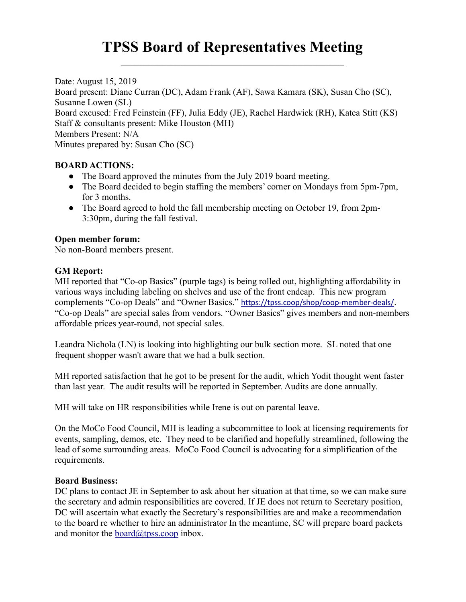# TPSS Board of Representatives Meeting

Date: August 15, 2019 Board present: Diane Curran (DC), Adam Frank (AF), Sawa Kamara (SK), Susan Cho (SC), Susanne Lowen (SL) Board excused: Fred Feinstein (FF), Julia Eddy (JE), Rachel Hardwick (RH), Katea Stitt (KS) Staff & consultants present: Mike Houston (MH) Members Present: N/A Minutes prepared by: Susan Cho (SC)

# BOARD ACTIONS:

- The Board approved the minutes from the July 2019 board meeting.
- The Board decided to begin staffing the members' corner on Mondays from 5pm-7pm, for 3 months.
- The Board agreed to hold the fall membership meeting on October 19, from 2pm-3:30pm, during the fall festival.

## Open member forum:

No non-Board members present.

## GM Report:

MH reported that "Co-op Basics" (purple tags) is being rolled out, highlighting affordability in various ways including labeling on shelves and use of the front endcap. This new program complements "Co-op Deals" and "Owner Basics." https://tpss.coop/shop/coop-member-deals/. "Co-op Deals" are special sales from vendors. "Owner Basics" gives members and non-members affordable prices year-round, not special sales.

Leandra Nichola (LN) is looking into highlighting our bulk section more. SL noted that one frequent shopper wasn't aware that we had a bulk section.

MH reported satisfaction that he got to be present for the audit, which Yodit thought went faster than last year. The audit results will be reported in September. Audits are done annually.

MH will take on HR responsibilities while Irene is out on parental leave.

On the MoCo Food Council, MH is leading a subcommittee to look at licensing requirements for events, sampling, demos, etc. They need to be clarified and hopefully streamlined, following the lead of some surrounding areas. MoCo Food Council is advocating for a simplification of the requirements.

#### Board Business:

DC plans to contact JE in September to ask about her situation at that time, so we can make sure the secretary and admin responsibilities are covered. If JE does not return to Secretary position, DC will ascertain what exactly the Secretary's responsibilities are and make a recommendation to the board re whether to hire an administrator In the meantime, SC will prepare board packets and monitor the board $@$ tpss.coop inbox.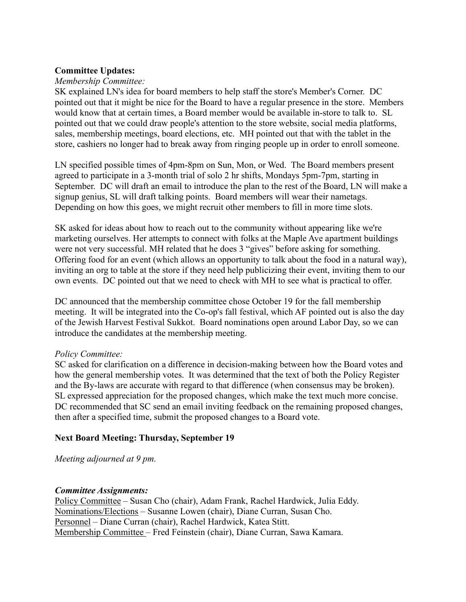#### Committee Updates:

## Membership Committee:

SK explained LN's idea for board members to help staff the store's Member's Corner. DC pointed out that it might be nice for the Board to have a regular presence in the store. Members would know that at certain times, a Board member would be available in-store to talk to. SL pointed out that we could draw people's attention to the store website, social media platforms, sales, membership meetings, board elections, etc. MH pointed out that with the tablet in the store, cashiers no longer had to break away from ringing people up in order to enroll someone.

LN specified possible times of 4pm-8pm on Sun, Mon, or Wed. The Board members present agreed to participate in a 3-month trial of solo 2 hr shifts, Mondays 5pm-7pm, starting in September. DC will draft an email to introduce the plan to the rest of the Board, LN will make a signup genius, SL will draft talking points. Board members will wear their nametags. Depending on how this goes, we might recruit other members to fill in more time slots.

SK asked for ideas about how to reach out to the community without appearing like we're marketing ourselves. Her attempts to connect with folks at the Maple Ave apartment buildings were not very successful. MH related that he does 3 "gives" before asking for something. Offering food for an event (which allows an opportunity to talk about the food in a natural way), inviting an org to table at the store if they need help publicizing their event, inviting them to our own events. DC pointed out that we need to check with MH to see what is practical to offer.

DC announced that the membership committee chose October 19 for the fall membership meeting. It will be integrated into the Co-op's fall festival, which AF pointed out is also the day of the Jewish Harvest Festival Sukkot. Board nominations open around Labor Day, so we can introduce the candidates at the membership meeting.

#### Policy Committee:

SC asked for clarification on a difference in decision-making between how the Board votes and how the general membership votes. It was determined that the text of both the Policy Register and the By-laws are accurate with regard to that difference (when consensus may be broken). SL expressed appreciation for the proposed changes, which make the text much more concise. DC recommended that SC send an email inviting feedback on the remaining proposed changes, then after a specified time, submit the proposed changes to a Board vote.

# Next Board Meeting: Thursday, September 19

Meeting adjourned at 9 pm.

# Committee Assignments:

Policy Committee – Susan Cho (chair), Adam Frank, Rachel Hardwick, Julia Eddy. Nominations/Elections – Susanne Lowen (chair), Diane Curran, Susan Cho. Personnel – Diane Curran (chair), Rachel Hardwick, Katea Stitt. Membership Committee – Fred Feinstein (chair), Diane Curran, Sawa Kamara.